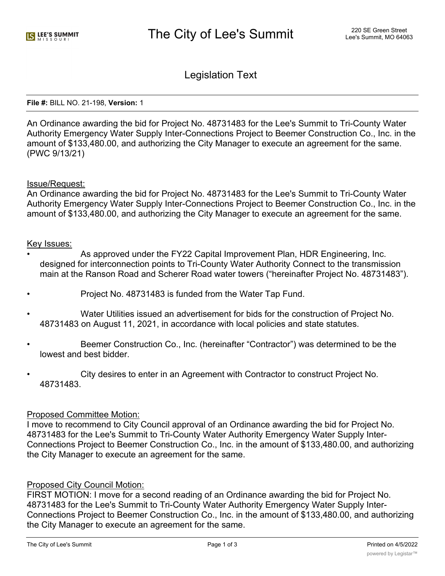Legislation Text

#### **File #:** BILL NO. 21-198, **Version:** 1

An Ordinance awarding the bid for Project No. 48731483 for the Lee's Summit to Tri-County Water Authority Emergency Water Supply Inter-Connections Project to Beemer Construction Co., Inc. in the amount of \$133,480.00, and authorizing the City Manager to execute an agreement for the same. (PWC 9/13/21)

#### Issue/Request:

An Ordinance awarding the bid for Project No. 48731483 for the Lee's Summit to Tri-County Water Authority Emergency Water Supply Inter-Connections Project to Beemer Construction Co., Inc. in the amount of \$133,480.00, and authorizing the City Manager to execute an agreement for the same.

#### Key Issues:

- As approved under the FY22 Capital Improvement Plan, HDR Engineering, Inc. designed for interconnection points to Tri-County Water Authority Connect to the transmission main at the Ranson Road and Scherer Road water towers ("hereinafter Project No. 48731483").
- Project No. 48731483 is funded from the Water Tap Fund.
- Water Utilities issued an advertisement for bids for the construction of Project No. 48731483 on August 11, 2021, in accordance with local policies and state statutes.
- Beemer Construction Co., Inc. (hereinafter "Contractor") was determined to be the lowest and best bidder.
- City desires to enter in an Agreement with Contractor to construct Project No. 48731483.

### Proposed Committee Motion:

I move to recommend to City Council approval of an Ordinance awarding the bid for Project No. 48731483 for the Lee's Summit to Tri-County Water Authority Emergency Water Supply Inter-Connections Project to Beemer Construction Co., Inc. in the amount of \$133,480.00, and authorizing the City Manager to execute an agreement for the same.

# Proposed City Council Motion:

FIRST MOTION: I move for a second reading of an Ordinance awarding the bid for Project No. 48731483 for the Lee's Summit to Tri-County Water Authority Emergency Water Supply Inter-Connections Project to Beemer Construction Co., Inc. in the amount of \$133,480.00, and authorizing the City Manager to execute an agreement for the same.